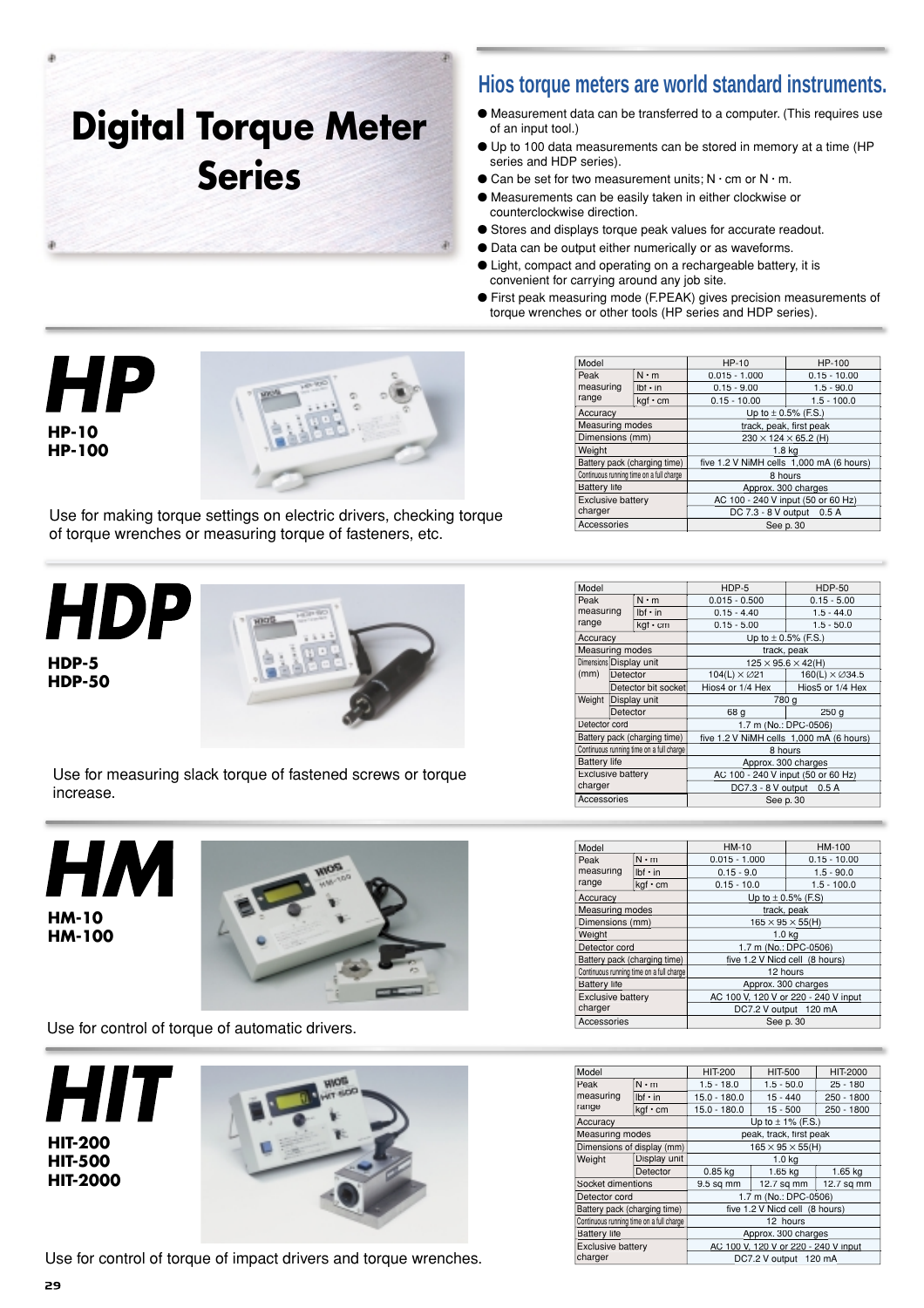# **Digital Torque Meter Series**

## **Hios torque meters are world standard instruments.**

- Measurement data can be transferred to a computer. (This requires use of an input tool.)
- Up to 100 data measurements can be stored in memory at a time (HP series and HDP series).
- $\bullet$  Can be set for two measurement units; N  $\cdot$  cm or N  $\cdot$  m.
- Measurements can be easily taken in either clockwise or counterclockwise direction.
- Stores and displays torque peak values for accurate readout.
- Data can be output either numerically or as waveforms.
- Light, compact and operating on a rechargeable battery, it is convenient for carrying around any job site.
- First peak measuring mode (F.PEAK) gives precision measurements of torque wrenches or other tools (HP series and HDP series).





Use for making torque settings on electric drivers, checking torque of torque wrenches or measuring torque of fasteners, etc.

*HDP* **HDP-5 HDP-50**



Use for measuring slack torque of fastened screws or torque increase.

| <b>HM-10</b><br><b>HM-100</b> |
|-------------------------------|



Use for control of torque of automatic drivers.





Use for control of torque of impact drivers and torque wrenches.

| Model                                    |                | HP-10                                    | HP-100         |  |  |
|------------------------------------------|----------------|------------------------------------------|----------------|--|--|
| Peak                                     | $N \cdot m$    | $0.015 - 1.000$                          | $0.15 - 10.00$ |  |  |
| measuring                                | $Ibf \cdot in$ | $0.15 - 9.00$                            | $1.5 - 90.0$   |  |  |
| range                                    | kgf · cm       | $0.15 - 10.00$                           | $1.5 - 100.0$  |  |  |
| Accuracy                                 |                | Up to $\pm$ 0.5% (F.S.)                  |                |  |  |
| <b>Measuring modes</b>                   |                | track, peak, first peak                  |                |  |  |
| Dimensions (mm)                          |                | $230 \times 124 \times 65.2$ (H)         |                |  |  |
| Weight                                   |                | 1.8 <sub>k</sub>                         |                |  |  |
| Battery pack (charging time)             |                | five 1.2 V NiMH cells 1,000 mA (6 hours) |                |  |  |
| Continuous running time on a full charge |                | 8 hours                                  |                |  |  |
| <b>Battery</b> life                      |                | Approx. 300 charges                      |                |  |  |
| <b>Exclusive battery</b>                 |                | AC 100 - 240 V input (50 or 60 Hz)       |                |  |  |
| charger                                  |                | DC 7.3 - 8 V output 0.5 A                |                |  |  |
| Accessories                              |                | See p. 30                                |                |  |  |

| Model                    |                                |                                          |                                          |                                |  |  |
|--------------------------|--------------------------------|------------------------------------------|------------------------------------------|--------------------------------|--|--|
|                          |                                |                                          | HDP-5                                    | <b>HDP-50</b>                  |  |  |
| Peak                     |                                | $N \cdot m$                              | $0.015 - 0.500$                          | $0.15 - 5.00$                  |  |  |
|                          | measuring<br>$I$ hf $\cdot$ in |                                          | $0.15 - 4.40$                            | $1.5 - 44.0$                   |  |  |
| range                    |                                | kgf • cm                                 | $0.15 - 5.00$                            | $1.5 - 50.0$                   |  |  |
|                          | Accuracy                       |                                          | Up to $\pm$ 0.5% (F.S.)                  |                                |  |  |
| Measuring modes          |                                |                                          | track, peak                              |                                |  |  |
| Dimensions Display unit  |                                |                                          |                                          | $125 \times 95.6 \times 42(H)$ |  |  |
| (mm)                     | Detector                       |                                          | $104(L) \times \emptyset$ 21             | $160(L) \times \emptyset$ 34.5 |  |  |
|                          | Detector bit socket            |                                          | Hios4 or 1/4 Hex                         | Hios5 or 1/4 Hex               |  |  |
| Weight                   |                                | Display unit                             | 780 g                                    |                                |  |  |
|                          | Detector                       |                                          | 68 g                                     | 250q                           |  |  |
| Detector cord            |                                |                                          | 1.7 m (No.: DPC-0506)                    |                                |  |  |
|                          |                                | Battery pack (charging time)             | five 1.2 V NiMH cells 1,000 mA (6 hours) |                                |  |  |
|                          |                                | Continuous running time on a full charge | 8 hours                                  |                                |  |  |
| <b>Battery</b> life      |                                |                                          | Approx. 300 charges                      |                                |  |  |
| <b>Exclusive battery</b> |                                |                                          | AC 100 - 240 V input (50 or 60 Hz)       |                                |  |  |
| charger                  |                                |                                          | DC7.3 - 8 V output 0.5 A                 |                                |  |  |
| Accessories              |                                |                                          | See p. 30                                |                                |  |  |
|                          |                                |                                          |                                          |                                |  |  |

| Model                                    |                   | $HM-10$                              | HM-100              |  |  |
|------------------------------------------|-------------------|--------------------------------------|---------------------|--|--|
| Peak                                     | $N \cdot m$       | $0.015 - 1.000$                      | $0.15 - 10.00$      |  |  |
| measuring                                | $I$ bf $\cdot$ in | $0.15 - 9.0$                         | $1.5 - 90.0$        |  |  |
| range                                    | $k$ gf $\cdot$ cm | $0.15 - 10.0$                        | $1.5 - 100.0$       |  |  |
| Accuracy                                 |                   | Up to $\pm$ 0.5% (F.S)               |                     |  |  |
| <b>Measuring modes</b>                   |                   |                                      | track, peak         |  |  |
| Dimensions (mm)                          |                   | $165 \times 95 \times 55$ (H)        |                     |  |  |
| Weight                                   |                   | 1.0 <sub>kg</sub>                    |                     |  |  |
| Detector cord                            |                   | 1.7 m (No.: DPC-0506)                |                     |  |  |
| Battery pack (charging time)             |                   | five 1.2 V Nicd cell (8 hours)       |                     |  |  |
| Continuous running time on a full charge |                   | 12 hours                             |                     |  |  |
| <b>Battery life</b>                      |                   |                                      | Approx. 300 charges |  |  |
| <b>Exclusive battery</b>                 |                   | AC 100 V, 120 V or 220 - 240 V input |                     |  |  |
| charger                                  |                   | DC7.2 V output 120 mA                |                     |  |  |
| Accessories                              |                   | See p. 30                            |                     |  |  |

| Model                                    |                   | <b>HIT-200</b>                       | <b>HIT-500</b>                | HIT-2000   |  |  |
|------------------------------------------|-------------------|--------------------------------------|-------------------------------|------------|--|--|
| Peak                                     | $N \cdot m$       | $1.5 - 18.0$                         | $1.5 - 50.0$                  | $25 - 180$ |  |  |
| measuring                                | $I$ bf $\cdot$ in | $15.0 - 180.0$                       | $15 - 440$                    | 250 - 1800 |  |  |
| range                                    | kgf · cm          | $15.0 - 180.0$                       | $15 - 500$                    | 250 - 1800 |  |  |
| Accuracy                                 |                   |                                      | Up to $\pm$ 1% (F.S.)         |            |  |  |
| <b>Measuring modes</b>                   |                   |                                      | peak, track, first peak       |            |  |  |
| Dimensions of display (mm)               |                   |                                      | $165 \times 95 \times 55$ (H) |            |  |  |
| Weight                                   | Display unit      | 1.0 <sub>kq</sub>                    |                               |            |  |  |
| Detector                                 |                   | $0.85$ kg                            | 1.65 kg                       | 1.65 kg    |  |  |
| Socket dimentions                        |                   | $9.5$ sq mm                          | $12.7$ sq mm                  | 12.7 sq mm |  |  |
| Detector cord                            |                   | 1.7 m (No.: DPC-0506)                |                               |            |  |  |
| Battery pack (charging time)             |                   | five 1.2 V Nicd cell (8 hours)       |                               |            |  |  |
| Continuous running time on a full charge |                   | 12 hours                             |                               |            |  |  |
| <b>Battery</b> life                      |                   | Approx. 300 charges                  |                               |            |  |  |
| <b>Exclusive battery</b>                 |                   | AC 100 V, 120 V or 220 - 240 V input |                               |            |  |  |
| charger                                  |                   |                                      | DC7.2 V output 120 mA         |            |  |  |
|                                          |                   |                                      |                               |            |  |  |